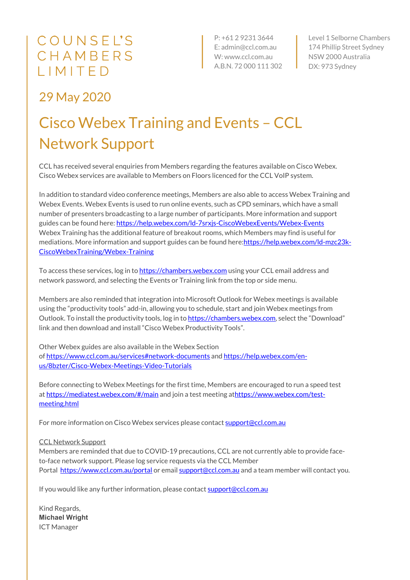## COUNSEL'S CHAMBERS LIMITED

P: +61 2 9231 3644 E: admin@ccl.com.au W: www.ccl.com.au A.B.N. 72 000 111 302

Level 1 Selborne Chambers 174 Phillip Street Sydney NSW 2000 Australia DX: 973 Sydney

### 29 May 2020

## Cisco Webex Training and Events – CCL Network Support

CCL has received several enquiries from Members regarding the features available on Cisco Webex. Cisco Webex services are available to Members on Floors licenced for the CCL VoIP system.

In addition to standard video conference meetings, Members are also able to access Webex Training and Webex Events. Webex Events is used to run online events, such as CPD seminars, which have a small number of presenters broadcasting to a large number of participants. More information and support guides can be found here: https://help.webex.com/ld-7srxjs-CiscoWebexEvents/Webex-Events Webex Training has the additional feature of breakout rooms, which Members may find is useful for mediations. More information and support guides can be found here:https://help.webex.com/ld-mzc23k-CiscoWebexTraining/Webex-Training

To access these services, log in to https://chambers.webex.com using your CCL email address and network password, and selecting the Events or Training link from the top or side menu.

Members are also reminded that integration into Microsoft Outlook for Webex meetings is available using the "productivity tools" add-in, allowing you to schedule, start and join Webex meetings from Outlook. To install the productivity tools, log in to https://chambers.webex.com, select the "Download" link and then download and install "Cisco Webex Productivity Tools".

Other Webex guides are also available in the Webex Section of https://www.ccl.com.au/services#network-documents and https://help.webex.com/enus/8bzter/Cisco-Webex-Meetings-Video-Tutorials

Before connecting to Webex Meetings for the first time, Members are encouraged to run a speed test at https://mediatest.webex.com/#/main and join a test meeting athttps://www.webex.com/testmeeting.html

For more information on Cisco Webex services please contact support@ccl.com.au

#### CCL Network Support

Members are reminded that due to COVID-19 precautions, CCL are not currently able to provide faceto-face network support. Please log service requests via the CCL Member Portal https://www.ccl.com.au/portal or email support@ccl.com.au and a team member will contact you.

If you would like any further information, please contact support@ccl.com.au

Kind Regards, **Michael Wright** ICT Manager